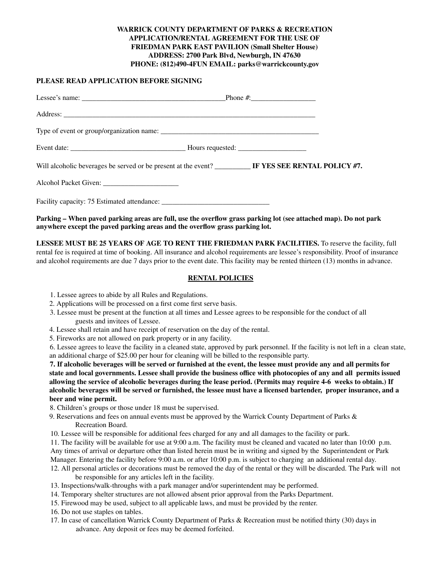### **WARRICK COUNTY DEPARTMENT OF PARKS & RECREATION APPLICATION/RENTAL AGREEMENT FOR THE USE OF FRIEDMAN PARK EAST PAVILION (Small Shelter House) ADDRESS: 2700 Park Blvd, Newburgh, IN 47630 PHONE: (812)490-4FUN EMAIL: parks@warrickcounty.gov**

### **PLEASE READ APPLICATION BEFORE SIGNING**

| Will alcoholic beverages be served or be present at the event? ___________ IF YES SEE RENTAL POLICY #7. |
|---------------------------------------------------------------------------------------------------------|
|                                                                                                         |
|                                                                                                         |

### Parking – When paved parking areas are full, use the overflow grass parking lot (see attached map). Do not park **anywhere except the paved parking areas and the overflow grass parking lot.**

**LESSEE MUST BE 25 YEARS OF AGE TO RENT THE FRIEDMAN PARK FACILITIES.** To reserve the facility, full rental fee is required at time of booking. All insurance and alcohol requirements are lessee's responsibility. Proof of insurance and alcohol requirements are due 7 days prior to the event date. This facility may be rented thirteen (13) months in advance.

### **RENTAL POLICIES**

- 1. Lessee agrees to abide by all Rules and Regulations.
- 2. Applications will be processed on a first come first serve basis.
- 3. Lessee must be present at the function at all times and Lessee agrees to be responsible for the conduct of all guests and invitees of Lessee.
- 4. Lessee shall retain and have receipt of reservation on the day of the rental.
- 5. Fireworks are not allowed on park property or in any facility.

6. Lessee agrees to leave the facility in a cleaned state, approved by park personnel. If the facility is not left in a clean state, an additional charge of \$25.00 per hour for cleaning will be billed to the responsible party.

7. If alcoholic beverages will be served or furnished at the event, the lessee must provide any and all permits for state and local governments. Lessee shall provide the business office with photocopies of any and all permits issued allowing the service of alcoholic beverages during the lease period. (Permits may require 4-6 weeks to obtain.) If alcoholic beverages will be served or furnished, the lessee must have a licensed bartender, proper insurance, and a **beer and wine permit.**

- 8. Children's groups or those under 18 must be supervised.
- 9. Reservations and fees on annual events must be approved by the Warrick County Department of Parks & Recreation Board.
- 10. Lessee will be responsible for additional fees charged for any and all damages to the facility or park.
- 11. The facility will be available for use at 9:00 a.m. The facility must be cleaned and vacated no later than 10:00 p.m. Any times of arrival or departure other than listed herein must be in writing and signed by the Superintendent or Park
- Manager. Entering the facility before 9:00 a.m. or after 10:00 p.m. is subject to charging an additional rental day. 12. All personal articles or decorations must be removed the day of the rental or they will be discarded. The Park will not be responsible for any articles left in the facility.
- 13. Inspections/walk-throughs with a park manager and/or superintendent may be performed.
- 14. Temporary shelter structures are not allowed absent prior approval from the Parks Department.
- 15. Firewood may be used, subject to all applicable laws, and must be provided by the renter.
- 16. Do not use staples on tables.
- 17. In case of cancellation Warrick County Department of Parks & Recreation must be notified thirty (30) days in advance. Any deposit or fees may be deemed forfeited.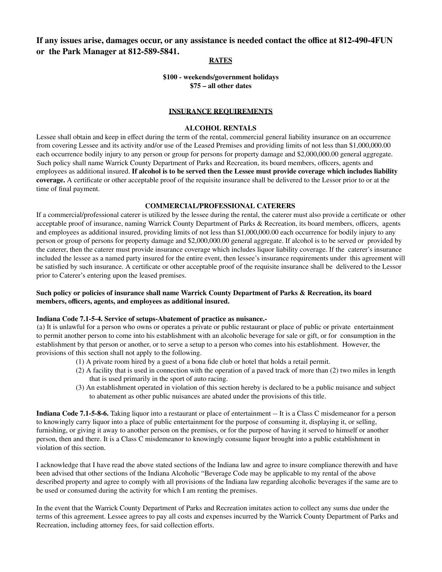## **If any issues arise, damages occur, or any assistance is needed contact the office at 812-490-4FUN or the Park Manager at 812-589-5841.**

### **RATES**

### **\$100 - weekends/government holidays \$75 – all other dates**

### **INSURANCE REQUIREMENTS**

### **ALCOHOL RENTALS**

Lessee shall obtain and keep in effect during the term of the rental, commercial general liability insurance on an occurrence from covering Lessee and its activity and/or use of the Leased Premises and providing limits of not less than \$1,000,000.00 each occurrence bodily injury to any person or group for persons for property damage and \$2,000,000.00 general aggregate. Such policy shall name Warrick County Department of Parks and Recreation, its board members, officers, agents and employees as additional insured. If alcohol is to be served then the Lessee must provide coverage which includes liability **coverage.** A certificate or other acceptable proof of the requisite insurance shall be delivered to the Lessor prior to or at the time of final payment.

### **COMMERCIAL/PROFESSIONAL CATERERS**

If a commercial/professional caterer is utilized by the lessee during the rental, the caterer must also provide a certificate or other acceptable proof of insurance, naming Warrick County Department of Parks & Recreation, its board members, officers, agents and employees as additional insured, providing limits of not less than \$1,000,000.00 each occurrence for bodily injury to any person or group of persons for property damage and \$2,000,000.00 general aggregate. If alcohol is to be served or provided by the caterer, then the caterer must provide insurance coverage which includes liquor liability coverage. If the caterer's insurance included the lessee as a named party insured for the entire event, then lessee's insurance requirements under this agreement will be satisfied by such insurance. A certificate or other acceptable proof of the requisite insurance shall be delivered to the Lessor prior to Caterer's entering upon the leased premises.

### Such policy or policies of insurance shall name Warrick County Department of Parks & Recreation, its board **members, officers, agents, and employees as additional insured.**

### **Indiana Code 7.1-5-4. Service of setups-Abatement of practice as nuisance.-**

(a) It is unlawful for a person who owns or operates a private or public restaurant or place of public or private entertainment to permit another person to come into his establishment with an alcoholic beverage for sale or gift, or for consumption in the establishment by that person or another, or to serve a setup to a person who comes into his establishment. However, the provisions of this section shall not apply to the following.

- (1) A private room hired by a guest of a bona fide club or hotel that holds a retail permit.
- (2) A facility that is used in connection with the operation of a paved track of more than (2) two miles in length that is used primarily in the sport of auto racing.
- (3) An establishment operated in violation of this section hereby is declared to be a public nuisance and subject to abatement as other public nuisances are abated under the provisions of this title.

**Indiana Code 7.1-5-8-6.** Taking liquor into a restaurant or place of entertainment -- It is a Class C misdemeanor for a person to knowingly carry liquor into a place of public entertainment for the purpose of consuming it, displaying it, or selling, furnishing, or giving it away to another person on the premises, or for the purpose of having it served to himself or another person, then and there. It is a Class C misdemeanor to knowingly consume liquor brought into a public establishment in violation of this section.

I acknowledge that I have read the above stated sections of the Indiana law and agree to insure compliance therewith and have been advised that other sections of the Indiana Alcoholic "Beverage Code may be applicable to my rental of the above described property and agree to comply with all provisions of the Indiana law regarding alcoholic beverages if the same are to be used or consumed during the activity for which I am renting the premises.

In the event that the Warrick County Department of Parks and Recreation imitates action to collect any sums due under the terms of this agreement. Lessee agrees to pay all costs and expenses incurred by the Warrick County Department of Parks and Recreation, including attorney fees, for said collection efforts.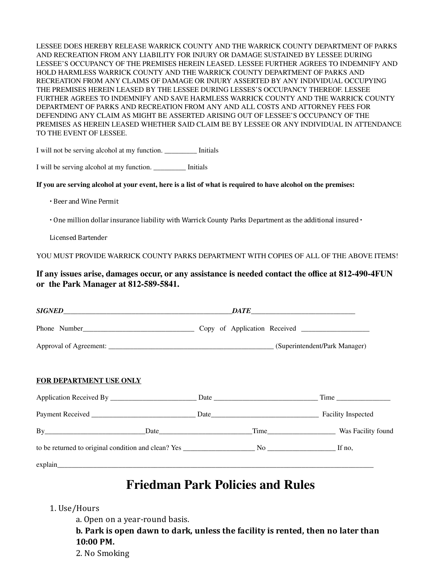LESSEE DOES HEREBY RELEASE WARRICK COUNTY AND THE WARRICK COUNTY DEPARTMENT OF PARKS AND RECREATION FROM ANY LIABILITY FOR INJURY OR DAMAGE SUSTAINED BY LESSEE DURING LESSEE'S OCCUPANCY OF THE PREMISES HEREIN LEASED. LESSEE FURTHER AGREES TO INDEMNIFY AND HOLD HARMLESS WARRICK COUNTY AND THE WARRICK COUNTY DEPARTMENT OF PARKS AND RECREATION FROM ANY CLAIMS OF DAMAGE OR INJURY ASSERTED BY ANY INDIVIDUAL OCCUPYING THE PREMISES HEREIN LEASED BY THE LESSEE DURING LESSES'S OCCUPANCY THEREOF. LESSEE FURTHER AGREES TO INDEMNIFY AND SAVE HARMLESS WARRICK COUNTY AND THE WARRICK COUNTY DEPARTMENT OF PARKS AND RECREATION FROM ANY AND ALL COSTS AND ATTORNEY FEES FOR DEFENDING ANY CLAIM AS MIGHT BE ASSERTED ARISING OUT OF LESSEE'S OCCUPANCY OF THE PREMISES AS HEREIN LEASED WHETHER SAID CLAIM BE BY LESSEE OR ANY INDIVIDUAL IN ATTENDANCE TO THE EVENT OF LESSEE.

I will not be serving alcohol at my function. \_\_\_\_\_\_\_\_\_ Initials

I will be serving alcohol at my function. \_\_\_\_\_\_\_\_\_ Initials

### If you are serving alcohol at your event, here is a list of what is required to have alcohol on the premises:

∙ Beer and Wine Permit

∙ One million dollar insurance liability with Warrick County Parks Department as the additional insured ∙

Licensed Bartender

YOU MUST PROVIDE WARRICK COUNTY PARKS DEPARTMENT WITH COPIES OF ALL OF THE ABOVE ITEMS!

## **If any issues arise, damages occur, or any assistance is needed contact the office at 812-490-4FUN or the Park Manager at 812-589-5841.**

| FOR DEPARTMENT USE ONLY |  |                         |  |
|-------------------------|--|-------------------------|--|
|                         |  |                         |  |
|                         |  |                         |  |
|                         |  | Time Was Facility found |  |
|                         |  |                         |  |
|                         |  |                         |  |

# **Friedman Park Policies and Rules**

## 1. Use/Hours

a. Open on a year-round basis.

**b. Park is open dawn to dark, unless the facility is rented, then no later than 10:00 PM.**

2. No Smoking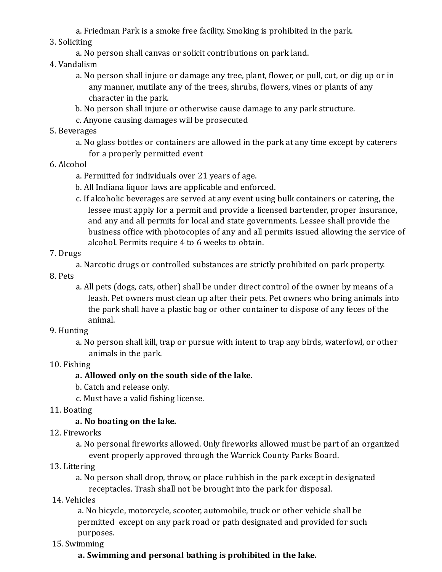a. Friedman Park is a smoke free facility. Smoking is prohibited in the park.

## 3. Soliciting

a. No person shall canvas or solicit contributions on park land.

## 4. Vandalism

- a. No person shall injure or damage any tree, plant, lower, or pull, cut, or dig up or in any manner, mutilate any of the trees, shrubs, flowers, vines or plants of any character in the park.
- b. No person shall injure or otherwise cause damage to any park structure.
- c. Anyone causing damages will be prosecuted
- 5. Beverages
	- a. No glass bottles or containers are allowed in the park at any time except by caterers for a properly permitted event
- 6. Alcohol
	- a. Permitted for individuals over 21 years of age.
	- b. All Indiana liquor laws are applicable and enforced.
	- c. If alcoholic beverages are served at any event using bulk containers or catering, the lessee must apply for a permit and provide a licensed bartender, proper insurance, and any and all permits for local and state governments. Lessee shall provide the business ofice with photocopies of any and all permits issued allowing the service of alcohol. Permits require 4 to 6 weeks to obtain.

## 7. Drugs

a. Narcotic drugs or controlled substances are strictly prohibited on park property.

- 8. Pets
	- a. All pets (dogs, cats, other) shall be under direct control of the owner by means of a leash. Pet owners must clean up after their pets. Pet owners who bring animals into the park shall have a plastic bag or other container to dispose of any feces of the animal.

## 9. Hunting

a. No person shall kill, trap or pursue with intent to trap any birds, waterfowl, or other animals in the park.

## 10. Fishing

# **a. Allowed only on the south side of the lake.**

- b. Catch and release only.
- c. Must have a valid fishing license.
- 11. Boating

## **a. No boating on the lake.**

12. Fireworks

a. No personal fireworks allowed. Only fireworks allowed must be part of an organized event properly approved through the Warrick County Parks Board.

13. Littering

a. No person shall drop, throw, or place rubbish in the park except in designated receptacles. Trash shall not be brought into the park for disposal.

14. Vehicles

a. No bicycle, motorcycle, scooter, automobile, truck or other vehicle shall be permitted except on any park road or path designated and provided for such purposes.

15. Swimming

# **a. Swimming and personal bathing is prohibited in the lake.**